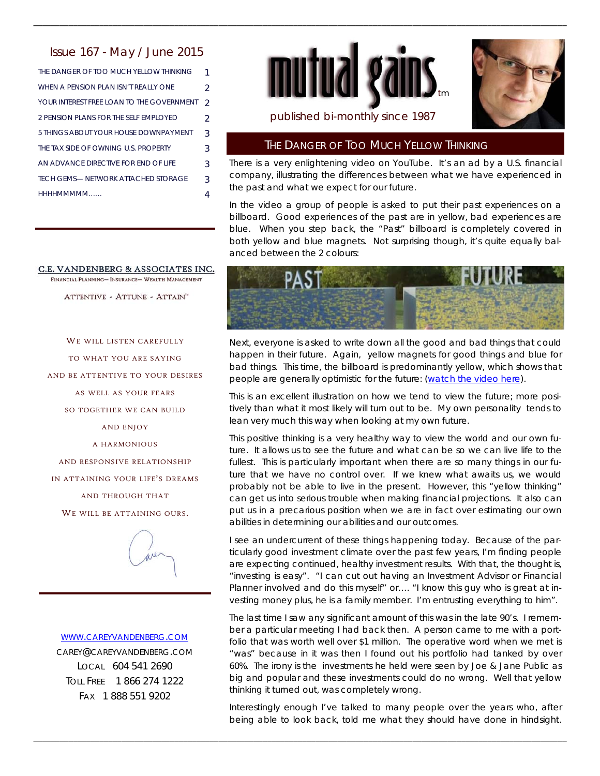# Issue 167 - May / June 2015

THE DANGER OF TOO MUCH YELLOW THINKING 1 WHEN A PENSION PLAN ISN'T REALLY ONE 2 YOUR INTEREST FREE LOAN TO THE GOVERNMENT 2 2 PENSION PLANS FOR THE SELF EMPLOYED 2 5 THINGS ABOUT YOUR HOUSE DOWNPAYMENT 3 THE TAX SIDE OF OWNING U.S. PROPERTY 3 AN ADVANCE DIRECTIVE FOR END OF LIFE 3 HHHHMMMMM…… 4 TECH GEMS-NETWORK ATTACHED STORAGE 3

#### C.E. VANDENBERG & ASSOCIATES INC. FINANCIAL PLANNING- INSURANCE- WEALTH MANAGEMENT

ATTENTIVE - ATTUNE - ATTAIN"

WE WILL LISTEN CAREFULLY TO WHAT YOU ARE SAYING AND BE ATTENTIVE TO YOUR DESIRES AS WELL AS YOUR FEARS SO TOGETHER WE CAN BUILD AND ENJOY A HARMONIOUS AND RESPONSIVE RELATIONSHIP IN ATTAINING YOUR LIFE'S DREAMS AND THROUGH THAT WE WILL BE ATTAINING OURS.



#### WWW.CAREYVANDENBERG.COM

CAREY@CAREYVANDENBERG.COM LOCAL 604 541 2690 TOLL FREE 1 866 274 1222 FAX 1 888 551 9202



\_\_\_\_\_\_\_\_\_\_\_\_\_\_\_\_\_\_\_\_\_\_\_\_\_\_\_\_\_\_\_\_\_\_\_\_\_\_\_\_\_\_\_\_\_\_\_\_\_\_\_\_\_\_\_\_\_\_\_\_\_\_\_\_\_\_\_\_\_\_\_\_\_\_\_\_\_\_\_\_\_\_\_\_\_\_\_\_\_\_\_\_\_\_\_\_\_\_\_\_\_\_\_\_\_\_\_\_\_\_\_\_\_\_\_\_\_\_\_\_\_



# published bi-monthly since 1987

# THE DANGER OF TOO MUCH YELLOW THINKING

There is a very enlightening video on YouTube. It's an ad by a U.S. financial company, illustrating the differences between what we have experienced in the past and what we expect for our future.

In the video a group of people is asked to put their past experiences on a billboard. Good experiences of the past are in yellow, bad experiences are blue. When you step back, the "Past" billboard is completely covered in both yellow and blue magnets. Not surprising though, it's quite equally balanced between the 2 colours:



Next, everyone is asked to write down all the good and bad things that could happen in their future. Again, yellow magnets for good things and blue for bad things. This time, the billboard is predominantly yellow, which shows that people are generally optimistic for the future: (watch the video here).

This is an excellent illustration on how we tend to view the future; more positively than what it most likely will turn out to be. My own personality tends to lean very much this way when looking at my own future.

This positive thinking is a very healthy way to view the world and our own future. It allows us to see the future and what can be so we can live life to the fullest. This is particularly important when there are so many things in our future that we have no control over. If we knew what awaits us, we would probably not be able to live in the present. However, this "yellow thinking" can get us into serious trouble when making financial projections. It also can put us in a precarious position when we are in fact over estimating our own abilities in determining our abilities and our outcomes.

I see an undercurrent of these things happening today. Because of the particularly good investment climate over the past few years, I'm finding people are expecting continued, healthy investment results. With that, the thought is, "investing is easy". "I can cut out having an Investment Advisor or Financial Planner involved and do this myself" or.... "I know this guy who is great at investing money plus, he is a family member. I'm entrusting everything to him".

The last time I saw any significant amount of this was in the late 90's. I remember a particular meeting I had back then. A person came to me with a portfolio that was worth well over \$1 million. The operative word when we met is "was" because in it was then I found out his portfolio had tanked by over 60%. The irony is the investments he held were seen by Joe & Jane Public as big and popular and these investments could do no wrong. Well that yellow thinking it turned out, was completely wrong.

Interestingly enough I've talked to many people over the years who, after being able to look back, told me what they should have done in hindsight.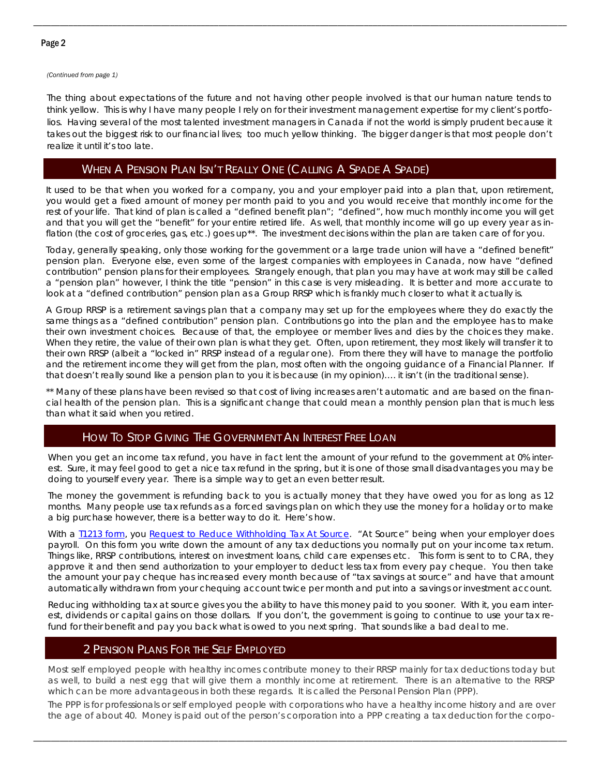*(Continued from page 1)* 

The thing about expectations of the future and not having other people involved is that our human nature tends to think yellow. This is why I have many people I rely on for their investment management expertise for my client's portfolios. Having several of the most talented investment managers in Canada if not the world is simply prudent because it takes out the biggest risk to our financial lives; too much yellow thinking. The bigger danger is that most people don't realize it until it's too late.

\_\_\_\_\_\_\_\_\_\_\_\_\_\_\_\_\_\_\_\_\_\_\_\_\_\_\_\_\_\_\_\_\_\_\_\_\_\_\_\_\_\_\_\_\_\_\_\_\_\_\_\_\_\_\_\_\_\_\_\_\_\_\_\_\_\_\_\_\_\_\_\_\_\_\_\_\_\_\_\_\_\_\_\_\_\_\_\_\_\_\_\_\_\_\_\_\_\_\_\_\_\_\_\_\_\_\_\_\_\_\_\_\_\_\_\_\_\_\_\_\_

# WHEN A PENSION PLAN ISN'T REALLY ONE (CALLING A SPADE A SPADE)

It used to be that when you worked for a company, you and your employer paid into a plan that, upon retirement, you would get a fixed amount of money per month paid to you and you would receive that monthly income for the rest of your life. That kind of plan is called a "defined benefit plan"; "defined", how much monthly income you will get and that you will get the "benefit" for your entire retired life. As well, that monthly income will go up every year as inflation (the cost of groceries, gas, etc.) goes up\*\*. The investment decisions within the plan are taken care of for you.

Today, generally speaking, only those working for the government or a large trade union will have a "defined benefit" pension plan. Everyone else, even some of the largest companies with employees in Canada, now have "defined contribution" pension plans for their employees. Strangely enough, that plan you may have at work may still be called a "pension plan" however, I think the title "pension" in this case is very misleading. It is better and more accurate to look at a "defined contribution" pension plan as a Group RRSP which is frankly much closer to what it actually is.

A Group RRSP is a retirement savings plan that a company may set up for the employees where they do exactly the same things as a "defined contribution" pension plan. Contributions go into the plan and the employee has to make their own investment choices. Because of that, the employee or member lives and dies by the choices they make. When they retire, the value of their own plan is what they get. Often, upon retirement, they most likely will transfer it to their own RRSP (albeit a "locked in" RRSP instead of a regular one). From there they will have to manage the portfolio and the retirement income they will get from the plan, most often with the ongoing guidance of a Financial Planner. If that doesn't really sound like a pension plan to you it is because (in my opinion)…. it isn't (in the traditional sense).

\*\* Many of these plans have been revised so that cost of living increases aren't automatic and are based on the financial health of the pension plan. This is a significant change that could mean a monthly pension plan that is much less than what it said when you retired.

# HOW TO STOP GIVING THE GOVERNMENT AN INTEREST FREE LOAN

When you get an income tax refund, you have in fact lent the amount of your refund to the government at 0% interest. Sure, it may feel good to get a nice tax refund in the spring, but it is one of those small disadvantages you may be doing to yourself every year. There is a simple way to get an even better result.

The money the government is refunding back to you is actually money that they have owed you for as long as 12 months. Many people use tax refunds as a forced savings plan on which they use the money for a holiday or to make a big purchase however, there is a better way to do it. Here's how.

With a 11213 form, you Request to Reduce Withholding Tax At Source. "At Source" being when your employer does payroll. On this form you write down the amount of any tax deductions you normally put on your income tax return. Things like, RRSP contributions, interest on investment loans, child care expenses etc. This form is sent to to CRA, they approve it and then send authorization to your employer to deduct less tax from every pay cheque. You then take the amount your pay cheque has increased every month because of "tax savings at source" and have that amount automatically withdrawn from your chequing account twice per month and put into a savings or investment account.

Reducing withholding tax at source gives you the ability to have this money paid to you sooner. With it, you earn interest, dividends or capital gains on those dollars. If you don't, the government is going to continue to use your tax refund for their benefit and pay you back what is owed to you next spring. That sounds like a bad deal to me.

# 2 PENSION PLANS FOR THE SELF EMPLOYED

Most self employed people with healthy incomes contribute money to their RRSP mainly for tax deductions today but as well, to build a nest egg that will give them a monthly income at retirement. There is an alternative to the RRSP which can be more advantageous in both these regards. It is called the Personal Pension Plan (PPP).

The PPP is for professionals or self employed people with corporations who have a healthy income history and are over the age of about 40. Money is paid out of the person's corporation into a PPP creating a tax deduction for the corpo-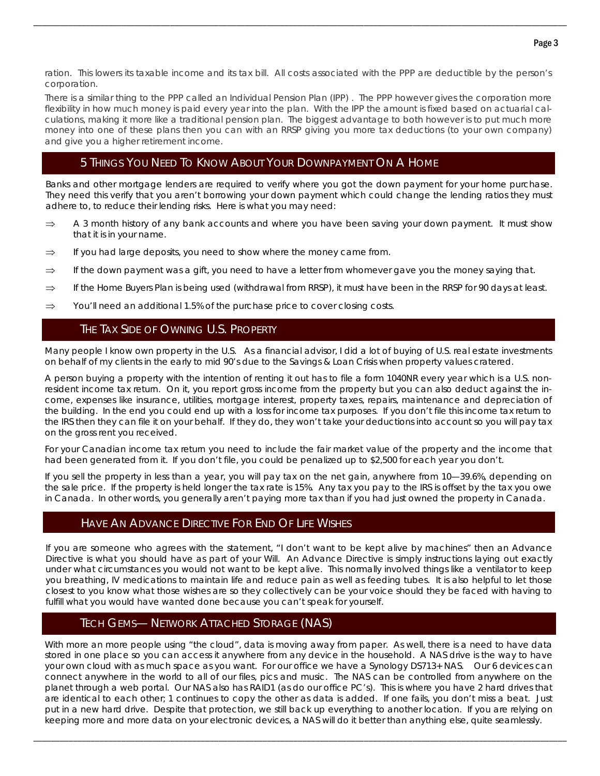ration. This lowers its taxable income and its tax bill. All costs associated with the PPP are deductible by the person's corporation.

\_\_\_\_\_\_\_\_\_\_\_\_\_\_\_\_\_\_\_\_\_\_\_\_\_\_\_\_\_\_\_\_\_\_\_\_\_\_\_\_\_\_\_\_\_\_\_\_\_\_\_\_\_\_\_\_\_\_\_\_\_\_\_\_\_\_\_\_\_\_\_\_\_\_\_\_\_\_\_\_\_\_\_\_\_\_\_\_\_\_\_\_\_\_\_\_\_\_\_\_\_\_\_\_\_\_\_\_\_\_\_\_\_\_\_\_\_\_\_\_\_

There is a similar thing to the PPP called an Individual Pension Plan (IPP) . The PPP however gives the corporation more flexibility in how much money is paid every year into the plan. With the IPP the amount is fixed based on actuarial calculations, making it more like a traditional pension plan. The biggest advantage to both however is to put much more money into one of these plans then you can with an RRSP giving you more tax deductions (to your own company) and give you a higher retirement income.

# 5 THINGS YOU NEED TO KNOW ABOUT YOUR DOWNPAYMENT ON A HOME

Banks and other mortgage lenders are required to verify where you got the down payment for your home purchase. They need this verify that you aren't borrowing your down payment which could change the lending ratios they must adhere to, to reduce their lending risks. Here is what you may need:

- $\Rightarrow$  A 3 month history of any bank accounts and where you have been saving your down payment. It must show that it is in your name.
- $\Rightarrow$  If you had large deposits, you need to show where the money came from.
- $\Rightarrow$  If the down payment was a gift, you need to have a letter from whomever gave you the money saying that.
- $\Rightarrow$  If the Home Buyers Plan is being used (withdrawal from RRSP), it must have been in the RRSP for 90 days at least.
- $\Rightarrow$  You'll need an additional 1.5% of the purchase price to cover closing costs.

# THE TAX SIDE OF OWNING U.S. PROPERTY

Many people I know own property in the U.S. As a financial advisor, I did a lot of buying of U.S. real estate investments on behalf of my clients in the early to mid 90's due to the Savings & Loan Crisis when property values cratered.

A person buying a property with the intention of renting it out has to file a form 1040NR every year which is a U.S. nonresident income tax return. On it, you report gross income from the property but you can also deduct against the income, expenses like insurance, utilities, mortgage interest, property taxes, repairs, maintenance and depreciation of the building. In the end you could end up with a loss for income tax purposes. If you don't file this income tax return to the IRS then they can file it on your behalf. If they do, they won't take your deductions into account so you will pay tax on the gross rent you received.

For your Canadian income tax return you need to include the fair market value of the property and the income that had been generated from it. If you don't file, you could be penalized up to \$2,500 for each year you don't.

If you sell the property in less than a year, you will pay tax on the net gain, anywhere from 10—39.6%, depending on the sale price. If the property is held longer the tax rate is 15%. Any tax you pay to the IRS is offset by the tax you owe in Canada. In other words, you generally aren't paying more tax than if you had just owned the property in Canada.

# HAVE AN ADVANCE DIRECTIVE FOR END OF LIFE WISHES

If you are someone who agrees with the statement, "I don't want to be kept alive by machines" then an Advance Directive is what you should have as part of your Will. An Advance Directive is simply instructions laying out exactly under what circumstances you would not want to be kept alive. This normally involved things like a ventilator to keep you breathing, IV medications to maintain life and reduce pain as well as feeding tubes. It is also helpful to let those closest to you know what those wishes are so they collectively can be your voice should they be faced with having to fulfill what you would have wanted done because you can't speak for yourself.

# TECH GEMS— NETWORK ATTACHED STORAGE (NAS)

With more an more people using "the cloud", data is moving away from paper. As well, there is a need to have data stored in one place so you can access it anywhere from any device in the household. A NAS drive is the way to have your own cloud with as much space as you want. For our office we have a Synology DS713+ NAS. Our 6 devices can connect anywhere in the world to all of our files, pics and music. The NAS can be controlled from anywhere on the planet through a web portal. Our NAS also has RAID1 (as do our office PC's). This is where you have 2 hard drives that are identical to each other; 1 continues to copy the other as data is added. If one fails, you don't miss a beat. Just put in a new hard drive. Despite that protection, we still back up everything to another location. If you are relying on keeping more and more data on your electronic devices, a NAS will do it better than anything else, quite seamlessly.